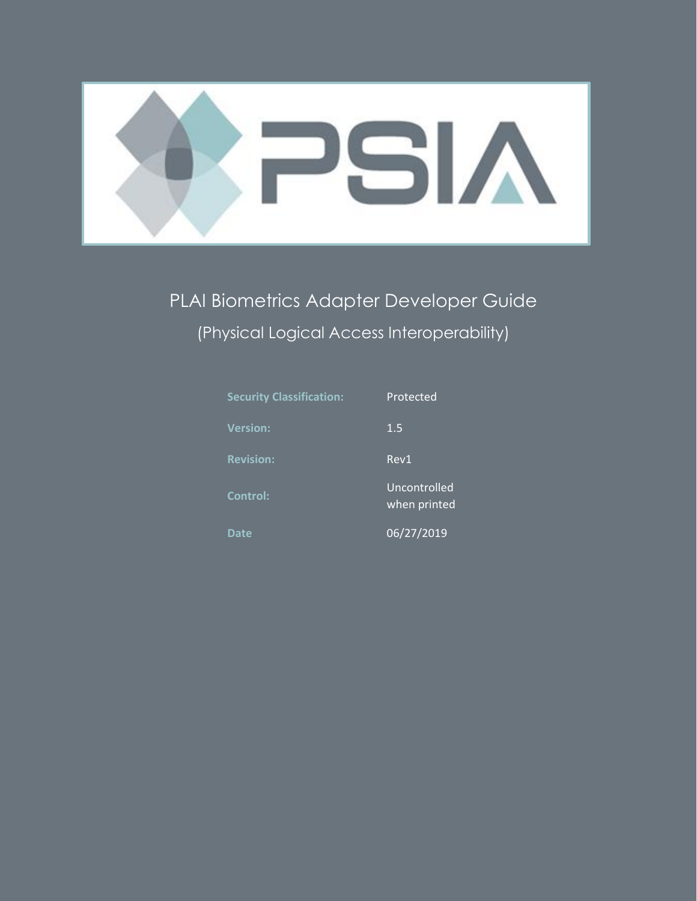

PLAI Biometrics Adapter Developer Guide (Physical Logical Access Interoperability)

| <b>Security Classification:</b> | Protected                    |
|---------------------------------|------------------------------|
| <b>Version:</b>                 | 1.5                          |
| <b>Revision:</b>                | Rev1                         |
| Control:                        | Uncontrolled<br>when printed |
| <b>Date</b>                     | 06/27/2019                   |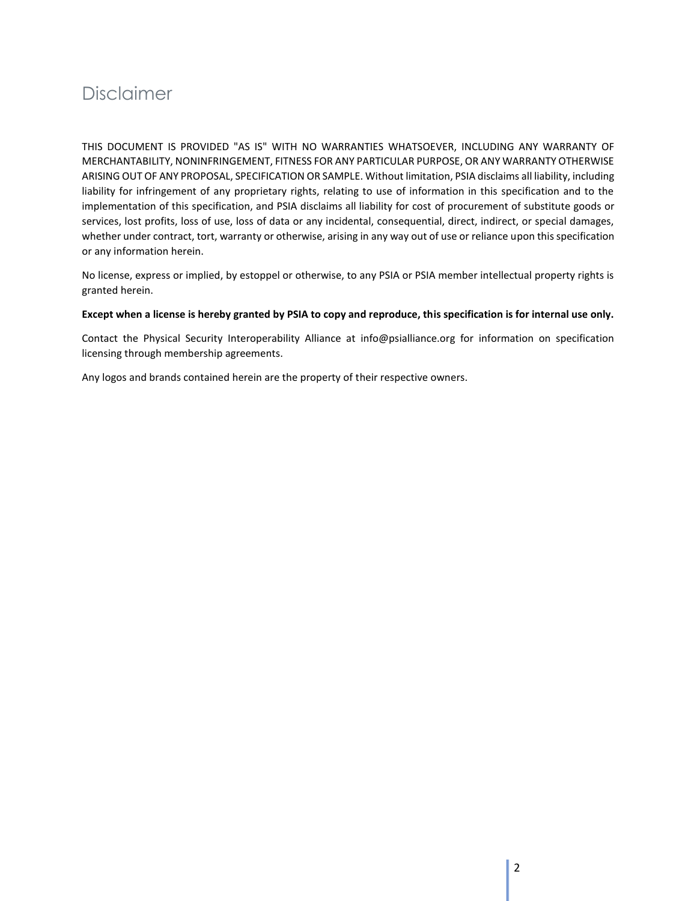## Disclaimer

THIS DOCUMENT IS PROVIDED "AS IS" WITH NO WARRANTIES WHATSOEVER, INCLUDING ANY WARRANTY OF MERCHANTABILITY, NONINFRINGEMENT, FITNESS FOR ANY PARTICULAR PURPOSE, OR ANY WARRANTY OTHERWISE ARISING OUT OF ANY PROPOSAL, SPECIFICATION OR SAMPLE. Without limitation, PSIA disclaims all liability, including liability for infringement of any proprietary rights, relating to use of information in this specification and to the implementation of this specification, and PSIA disclaims all liability for cost of procurement of substitute goods or services, lost profits, loss of use, loss of data or any incidental, consequential, direct, indirect, or special damages, whether under contract, tort, warranty or otherwise, arising in any way out of use or reliance upon this specification or any information herein.

No license, express or implied, by estoppel or otherwise, to any PSIA or PSIA member intellectual property rights is granted herein.

#### **Except when a license is hereby granted by PSIA to copy and reproduce, this specification is for internal use only.**

Contact the Physical Security Interoperability Alliance at info@psialliance.org for information on specification licensing through membership agreements.

Any logos and brands contained herein are the property of their respective owners.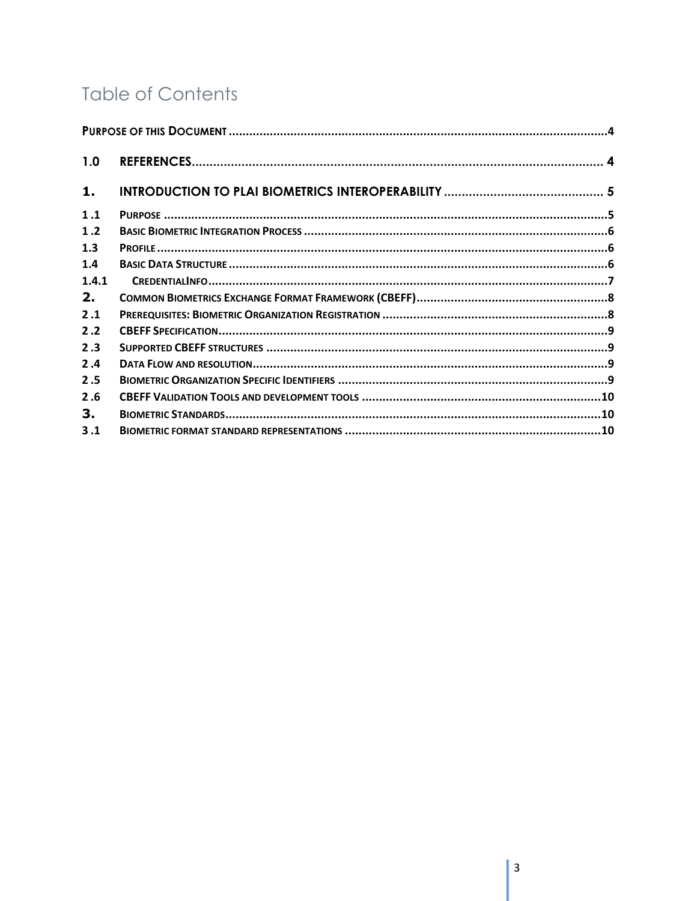# **Table of Contents**

| 1.0   |  |
|-------|--|
| 1.    |  |
| 1.1   |  |
| 1.2   |  |
| 1.3   |  |
| 1.4   |  |
| 1.4.1 |  |
| 2.    |  |
| 2.1   |  |
| 2.2   |  |
| 2.3   |  |
| 2.4   |  |
| 2.5   |  |
| 2.6   |  |
| 3.    |  |
| 3.1   |  |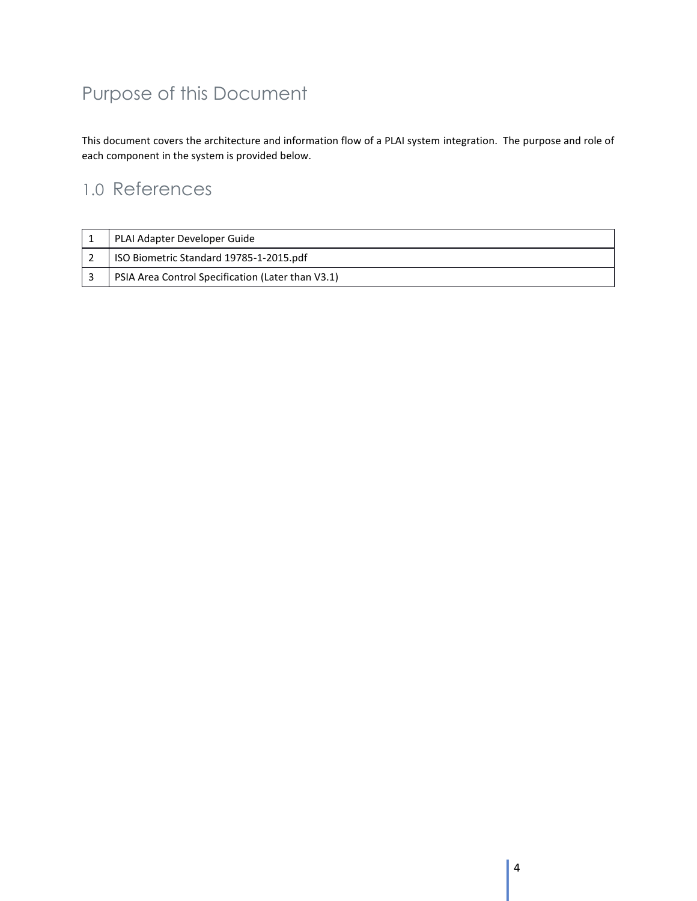# <span id="page-3-0"></span>Purpose of this Document

This document covers the architecture and information flow of a PLAI system integration. The purpose and role of each component in the system is provided below.

## <span id="page-3-1"></span>1.0 References

| PLAI Adapter Developer Guide                      |
|---------------------------------------------------|
| ISO Biometric Standard 19785-1-2015.pdf           |
| PSIA Area Control Specification (Later than V3.1) |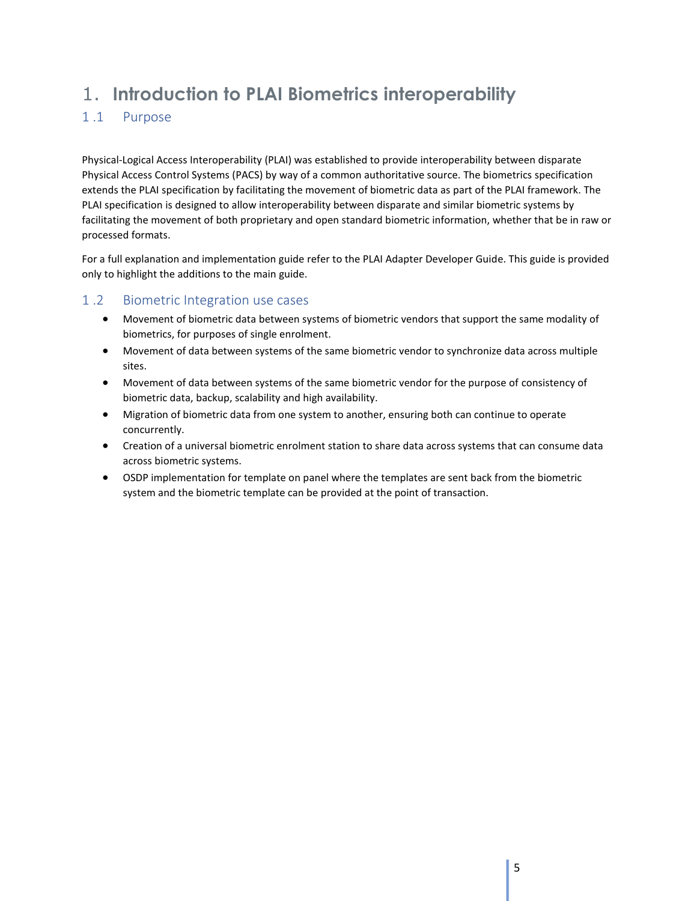## <span id="page-4-0"></span>1. **Introduction to PLAI Biometrics interoperability**

## <span id="page-4-1"></span>1 .1 Purpose

Physical-Logical Access Interoperability (PLAI) was established to provide interoperability between disparate Physical Access Control Systems (PACS) by way of a common authoritative source. The biometrics specification extends the PLAI specification by facilitating the movement of biometric data as part of the PLAI framework. The PLAI specification is designed to allow interoperability between disparate and similar biometric systems by facilitating the movement of both proprietary and open standard biometric information, whether that be in raw or processed formats.

For a full explanation and implementation guide refer to the PLAI Adapter Developer Guide. This guide is provided only to highlight the additions to the main guide.

### 1 .2 Biometric Integration use cases

- Movement of biometric data between systems of biometric vendors that support the same modality of biometrics, for purposes of single enrolment.
- Movement of data between systems of the same biometric vendor to synchronize data across multiple sites.
- Movement of data between systems of the same biometric vendor for the purpose of consistency of biometric data, backup, scalability and high availability.
- Migration of biometric data from one system to another, ensuring both can continue to operate concurrently.
- Creation of a universal biometric enrolment station to share data across systems that can consume data across biometric systems.
- <span id="page-4-2"></span>• OSDP implementation for template on panel where the templates are sent back from the biometric system and the biometric template can be provided at the point of transaction.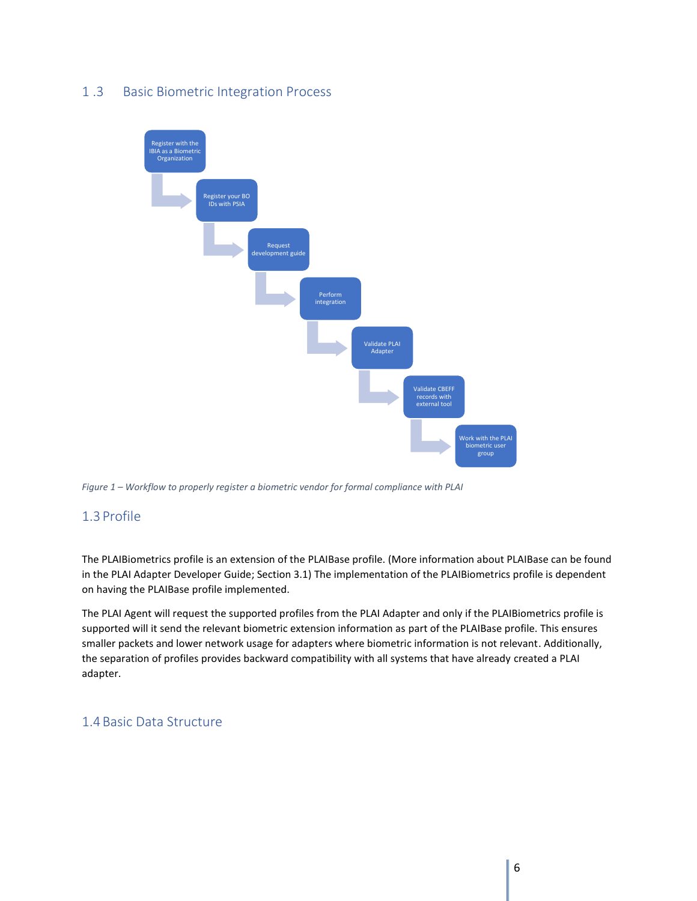### 1 .3 Basic Biometric Integration Process



*Figure 1 – Workflow to properly register a biometric vendor for formal compliance with PLAI*

### <span id="page-5-0"></span>1.3 Profile

The PLAIBiometrics profile is an extension of the PLAIBase profile. (More information about PLAIBase can be found in the PLAI Adapter Developer Guide; Section 3.1) The implementation of the PLAIBiometrics profile is dependent on having the PLAIBase profile implemented.

The PLAI Agent will request the supported profiles from the PLAI Adapter and only if the PLAIBiometrics profile is supported will it send the relevant biometric extension information as part of the PLAIBase profile. This ensures smaller packets and lower network usage for adapters where biometric information is not relevant. Additionally, the separation of profiles provides backward compatibility with all systems that have already created a PLAI adapter.

### <span id="page-5-1"></span>1.4Basic Data Structure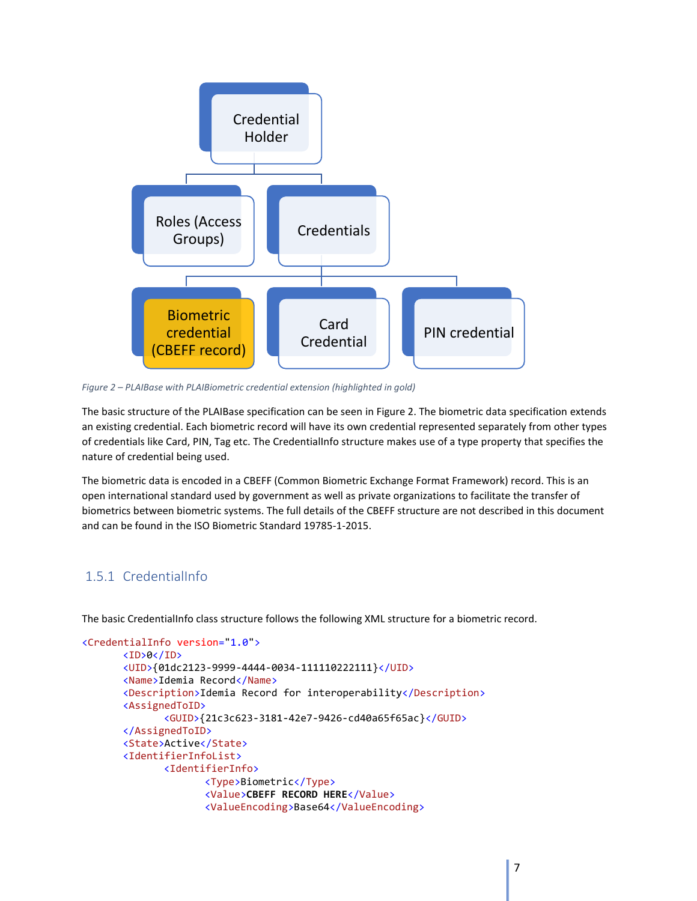

*Figure 2 – PLAIBase with PLAIBiometric credential extension (highlighted in gold)*

The basic structure of the PLAIBase specification can be seen in Figure 2. The biometric data specification extends an existing credential. Each biometric record will have its own credential represented separately from other types of credentials like Card, PIN, Tag etc. The CredentialInfo structure makes use of a type property that specifies the nature of credential being used.

The biometric data is encoded in a CBEFF (Common Biometric Exchange Format Framework) record. This is an open international standard used by government as well as private organizations to facilitate the transfer of biometrics between biometric systems. The full details of the CBEFF structure are not described in this document and can be found in the ISO Biometric Standard 19785-1-2015.

## <span id="page-6-0"></span>1.5.1 CredentialInfo

The basic CredentialInfo class structure follows the following XML structure for a biometric record.

```
<CredentialInfo version="1.0">
<ID>0</ID>
<UID>{01dc2123-9999-4444-0034-111110222111}</UID>
<Name>Idemia Record</Name>
<Description>Idemia Record for interoperability</Description>
<AssignedToID>
       <GUID>{21c3c623-3181-42e7-9426-cd40a65f65ac}</GUID>
</AssignedToID>
<State>Active</State>
<IdentifierInfoList>
       <IdentifierInfo>
              <Type>Biometric</Type>
              <Value>CBEFF RECORD HERE</Value>
              <ValueEncoding>Base64</ValueEncoding>
```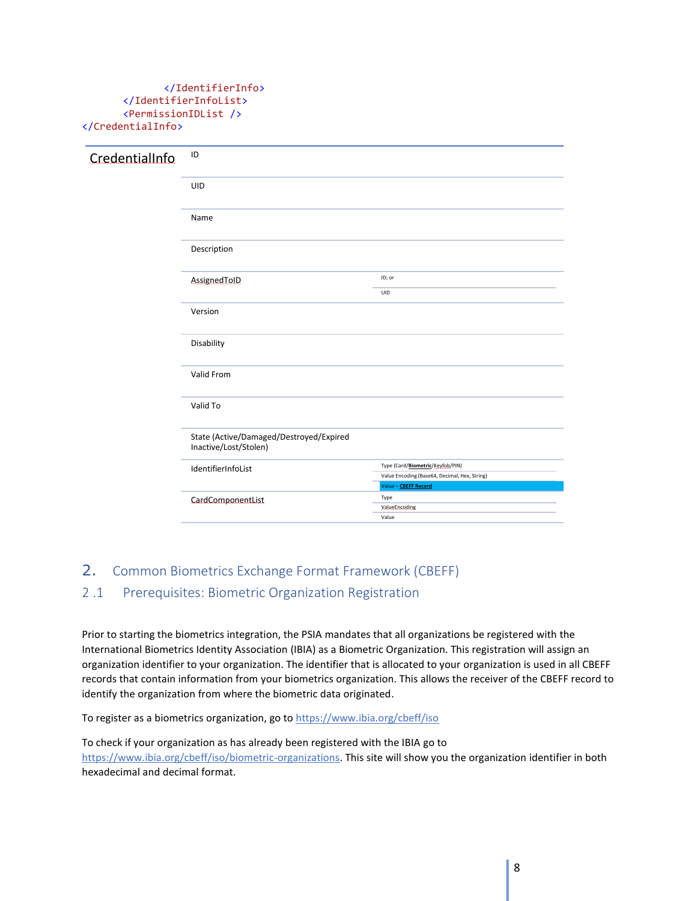#### </IdentifierInfo> </IdentifierInfoList> <PermissionIDList /> </CredentialInfo>

| CredentialInfo | ID                                                               |                                                                                                           |
|----------------|------------------------------------------------------------------|-----------------------------------------------------------------------------------------------------------|
|                | UID                                                              |                                                                                                           |
|                | Name                                                             |                                                                                                           |
|                | Description                                                      |                                                                                                           |
|                | AssignedToID                                                     | ID; or                                                                                                    |
|                |                                                                  | UID                                                                                                       |
|                | Version                                                          |                                                                                                           |
|                | Disability                                                       |                                                                                                           |
|                | Valid From                                                       |                                                                                                           |
|                | Valid To                                                         |                                                                                                           |
|                | State (Active/Damaged/Destroyed/Expired<br>Inactive/Lost/Stolen) |                                                                                                           |
|                | IdentifierInfoList                                               | Type (Card/Biometric/Keyfob/PIN)<br>Value Encoding (Base64, Decimal, Hex, String)<br>Value - CBEFF Record |
|                | CardComponentList                                                | Type<br>ValueEncoding<br>Value                                                                            |

## <span id="page-7-1"></span><span id="page-7-0"></span>2. Common Biometrics Exchange Format Framework (CBEFF) 2 .1 Prerequisites: Biometric Organization Registration

Prior to starting the biometrics integration, the PSIA mandates that all organizations be registered with the International Biometrics Identity Association (IBIA) as a Biometric Organization. This registration will assign an organization identifier to your organization. The identifier that is allocated to your organization is used in all CBEFF records that contain information from your biometrics organization. This allows the receiver of the CBEFF record to identify the organization from where the biometric data originated.

To register as a biometrics organization, go to <https://www.ibia.org/cbeff/iso>

To check if your organization as has already been registered with the IBIA go to [https://www.ibia.org/cbeff/iso/biometric-organizations.](https://www.ibia.org/cbeff/iso/biometric-organizations) This site will show you the organization identifier in both hexadecimal and decimal format.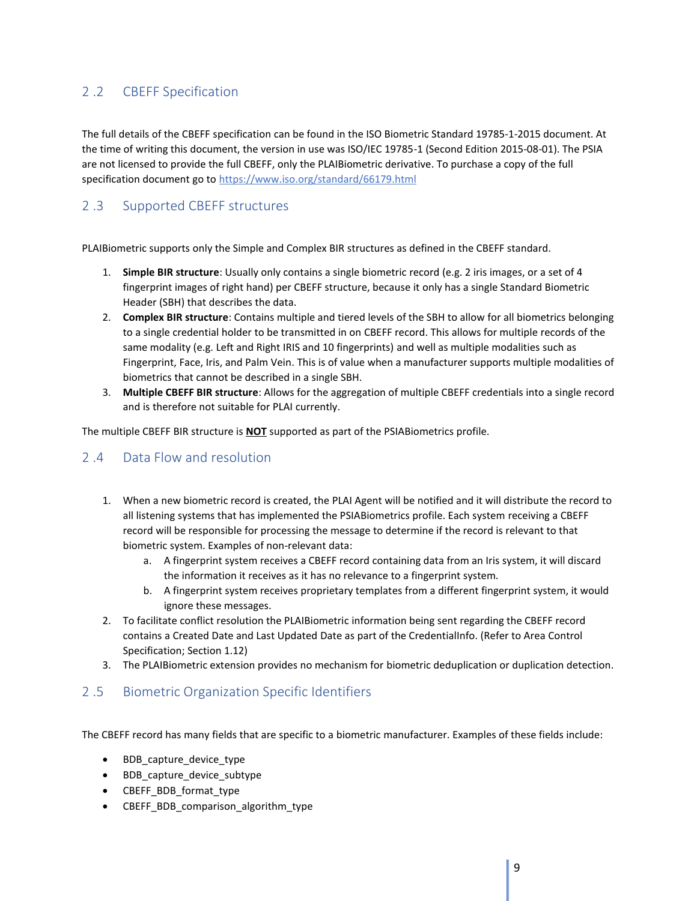## <span id="page-8-0"></span>2 .2 CBEFF Specification

The full details of the CBEFF specification can be found in the ISO Biometric Standard 19785-1-2015 document. At the time of writing this document, the version in use was ISO/IEC 19785-1 (Second Edition 2015-08-01). The PSIA are not licensed to provide the full CBEFF, only the PLAIBiometric derivative. To purchase a copy of the full specification document go to <https://www.iso.org/standard/66179.html>

## <span id="page-8-1"></span>2 .3 Supported CBEFF structures

PLAIBiometric supports only the Simple and Complex BIR structures as defined in the CBEFF standard.

- 1. **Simple BIR structure**: Usually only contains a single biometric record (e.g. 2 iris images, or a set of 4 fingerprint images of right hand) per CBEFF structure, because it only has a single Standard Biometric Header (SBH) that describes the data.
- 2. **Complex BIR structure**: Contains multiple and tiered levels of the SBH to allow for all biometrics belonging to a single credential holder to be transmitted in on CBEFF record. This allows for multiple records of the same modality (e.g. Left and Right IRIS and 10 fingerprints) and well as multiple modalities such as Fingerprint, Face, Iris, and Palm Vein. This is of value when a manufacturer supports multiple modalities of biometrics that cannot be described in a single SBH.
- 3. **Multiple CBEFF BIR structure**: Allows for the aggregation of multiple CBEFF credentials into a single record and is therefore not suitable for PLAI currently.

The multiple CBEFF BIR structure is **NOT** supported as part of the PSIABiometrics profile.

## <span id="page-8-2"></span>2 .4 Data Flow and resolution

- 1. When a new biometric record is created, the PLAI Agent will be notified and it will distribute the record to all listening systems that has implemented the PSIABiometrics profile. Each system receiving a CBEFF record will be responsible for processing the message to determine if the record is relevant to that biometric system. Examples of non-relevant data:
	- a. A fingerprint system receives a CBEFF record containing data from an Iris system, it will discard the information it receives as it has no relevance to a fingerprint system.
	- b. A fingerprint system receives proprietary templates from a different fingerprint system, it would ignore these messages.
- 2. To facilitate conflict resolution the PLAIBiometric information being sent regarding the CBEFF record contains a Created Date and Last Updated Date as part of the CredentialInfo. (Refer to Area Control Specification; Section 1.12)
- 3. The PLAIBiometric extension provides no mechanism for biometric deduplication or duplication detection.

## <span id="page-8-3"></span>2 .5 Biometric Organization Specific Identifiers

The CBEFF record has many fields that are specific to a biometric manufacturer. Examples of these fields include:

- BDB capture device type
- BDB capture device subtype
- CBEFF\_BDB\_format\_type
- CBEFF\_BDB\_comparison\_algorithm\_type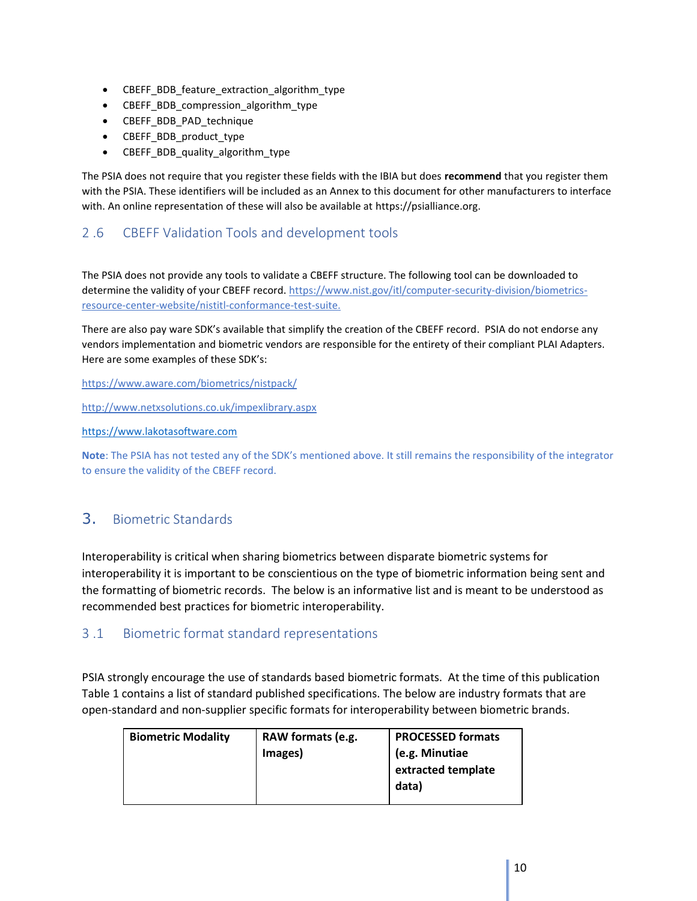- CBEFF\_BDB\_feature\_extraction\_algorithm\_type
- CBEFF\_BDB\_compression\_algorithm\_type
- CBEFF\_BDB\_PAD\_technique
- CBEFF\_BDB\_product\_type
- CBEFF BDB quality algorithm type

The PSIA does not require that you register these fields with the IBIA but does **recommend** that you register them with the PSIA. These identifiers will be included as an Annex to this document for other manufacturers to interface with. An online representation of these will also be available at https://psialliance.org.

## <span id="page-9-0"></span>2 .6 CBEFF Validation Tools and development tools

The PSIA does not provide any tools to validate a CBEFF structure. The following tool can be downloaded to determine the validity of your CBEFF record. [https://www.nist.gov/itl/computer-security-division/biometrics](https://www.nist.gov/itl/computer-security-division/biometrics-resource-center-website/nistitl-conformance-test-suite)[resource-center-website/nistitl-conformance-test-suite.](https://www.nist.gov/itl/computer-security-division/biometrics-resource-center-website/nistitl-conformance-test-suite)

There are also pay ware SDK's available that simplify the creation of the CBEFF record. PSIA do not endorse any vendors implementation and biometric vendors are responsible for the entirety of their compliant PLAI Adapters. Here are some examples of these SDK's:

<https://www.aware.com/biometrics/nistpack/>

<http://www.netxsolutions.co.uk/impexlibrary.aspx>

[https://www.lakotasoftware.com](https://www.lakotasoftware.com/)

**Note**: The PSIA has not tested any of the SDK's mentioned above. It still remains the responsibility of the integrator to ensure the validity of the CBEFF record.

## <span id="page-9-1"></span>3. Biometric Standards

Interoperability is critical when sharing biometrics between disparate biometric systems for interoperability it is important to be conscientious on the type of biometric information being sent and the formatting of biometric records. The below is an informative list and is meant to be understood as recommended best practices for biometric interoperability.

### <span id="page-9-2"></span>3 .1 Biometric format standard representations

PSIA strongly encourage the use of standards based biometric formats. At the time of this publication Table 1 contains a list of standard published specifications. The below are industry formats that are open-standard and non-supplier specific formats for interoperability between biometric brands.

| <b>Biometric Modality</b> | RAW formats (e.g.<br>Images) | <b>PROCESSED formats</b><br>(e.g. Minutiae<br>extracted template<br>data) |
|---------------------------|------------------------------|---------------------------------------------------------------------------|
|                           |                              |                                                                           |